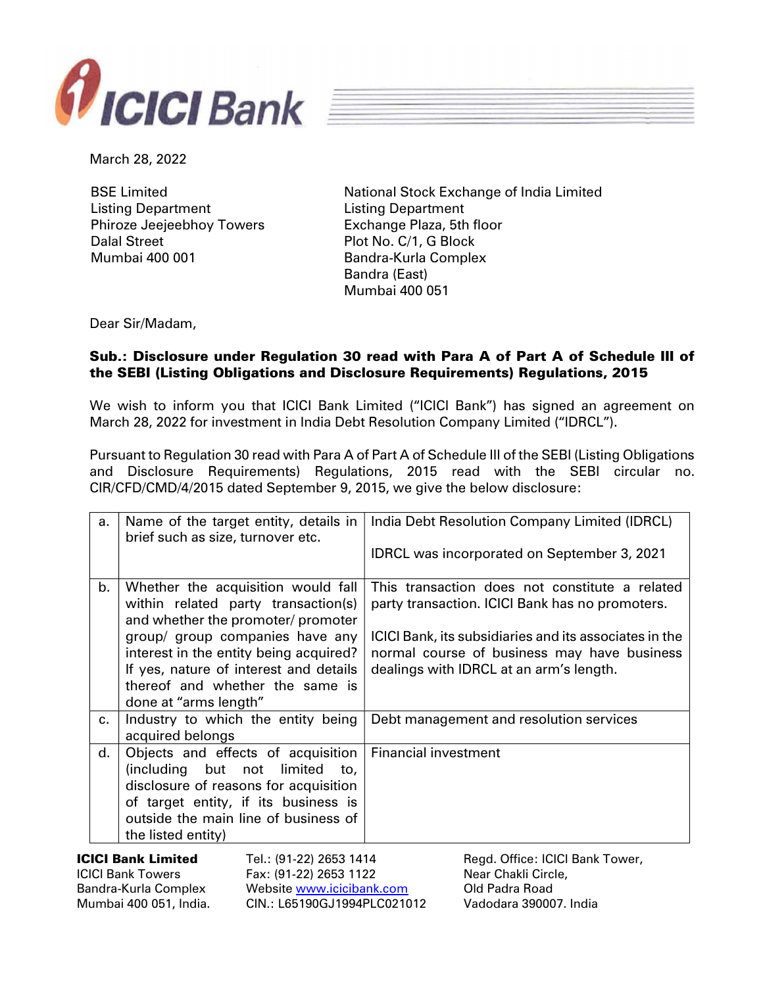



March 28, 2022

BSE Limited Listing Department Phiroze Jeejeebhoy Towers Dalal Street Mumbai 400 001

National Stock Exchange of India Limited Listing Department Exchange Plaza, 5th floor Plot No. C/1, G Block Bandra-Kurla Complex Bandra (East) Mumbai 400 051

Dear Sir/Madam,

## Sub.: Disclosure under Regulation 30 read with Para A of Part A of Schedule III of the SEBI (Listing Obligations and Disclosure Requirements) Regulations, 2015

We wish to inform you that ICICI Bank Limited ("ICICI Bank") has signed an agreement on March 28, 2022 for investment in India Debt Resolution Company Limited ("IDRCL").

Pursuant to Regulation 30 read with Para A of Part A of Schedule III of the SEBI (Listing Obligations and Disclosure Requirements) Regulations, 2015 read with the SEBI circular no. CIR/CFD/CMD/4/2015 dated September 9, 2015, we give the below disclosure:

|                                                       | а.                                   | Name of the target entity, details in<br>brief such as size, turnover etc.                                      |                           |                             | India Debt Resolution Company Limited (IDRCL)                                                         |
|-------------------------------------------------------|--------------------------------------|-----------------------------------------------------------------------------------------------------------------|---------------------------|-----------------------------|-------------------------------------------------------------------------------------------------------|
|                                                       |                                      |                                                                                                                 |                           |                             | <b>IDRCL was incorporated on September 3, 2021</b>                                                    |
|                                                       | b.                                   | Whether the acquisition would fall<br>within related party transaction(s)<br>and whether the promoter/ promoter |                           |                             | This transaction does not constitute a related<br>party transaction. ICICI Bank has no promoters.     |
|                                                       |                                      | group/ group companies have any<br>interest in the entity being acquired?                                       |                           |                             | ICICI Bank, its subsidiaries and its associates in the<br>normal course of business may have business |
|                                                       |                                      | If yes, nature of interest and details                                                                          |                           |                             | dealings with IDRCL at an arm's length.                                                               |
|                                                       |                                      | thereof and whether the same is                                                                                 |                           |                             |                                                                                                       |
|                                                       |                                      | done at "arms length"                                                                                           |                           |                             |                                                                                                       |
|                                                       | $c_{\cdot}$                          | Industry to which the entity being                                                                              |                           |                             | Debt management and resolution services                                                               |
|                                                       |                                      | acquired belongs                                                                                                |                           |                             |                                                                                                       |
|                                                       | d.                                   | Objects and effects of acquisition                                                                              |                           | <b>Financial investment</b> |                                                                                                       |
|                                                       |                                      | (including but not limited to,                                                                                  |                           |                             |                                                                                                       |
|                                                       |                                      | disclosure of reasons for acquisition                                                                           |                           |                             |                                                                                                       |
|                                                       | of target entity, if its business is |                                                                                                                 |                           |                             |                                                                                                       |
|                                                       |                                      | outside the main line of business of                                                                            |                           |                             |                                                                                                       |
|                                                       |                                      | the listed entity)                                                                                              |                           |                             |                                                                                                       |
| <b>ICICI Bank Limited</b><br>Tel.: (91-22) 2653 1414  |                                      |                                                                                                                 |                           |                             | Regd. Office: ICICI Bank Tower,                                                                       |
| <b>ICICI Bank Towers</b>                              |                                      |                                                                                                                 | Fax: (91-22) 2653 1122    |                             | Near Chakli Circle,                                                                                   |
| Bandra-Kurla Complex                                  |                                      |                                                                                                                 | Website www.icicibank.com |                             | Old Padra Road                                                                                        |
| CIN.: L65190GJ1994PLC021012<br>Mumbai 400 051, India. |                                      |                                                                                                                 |                           |                             | Vadodara 390007. India                                                                                |